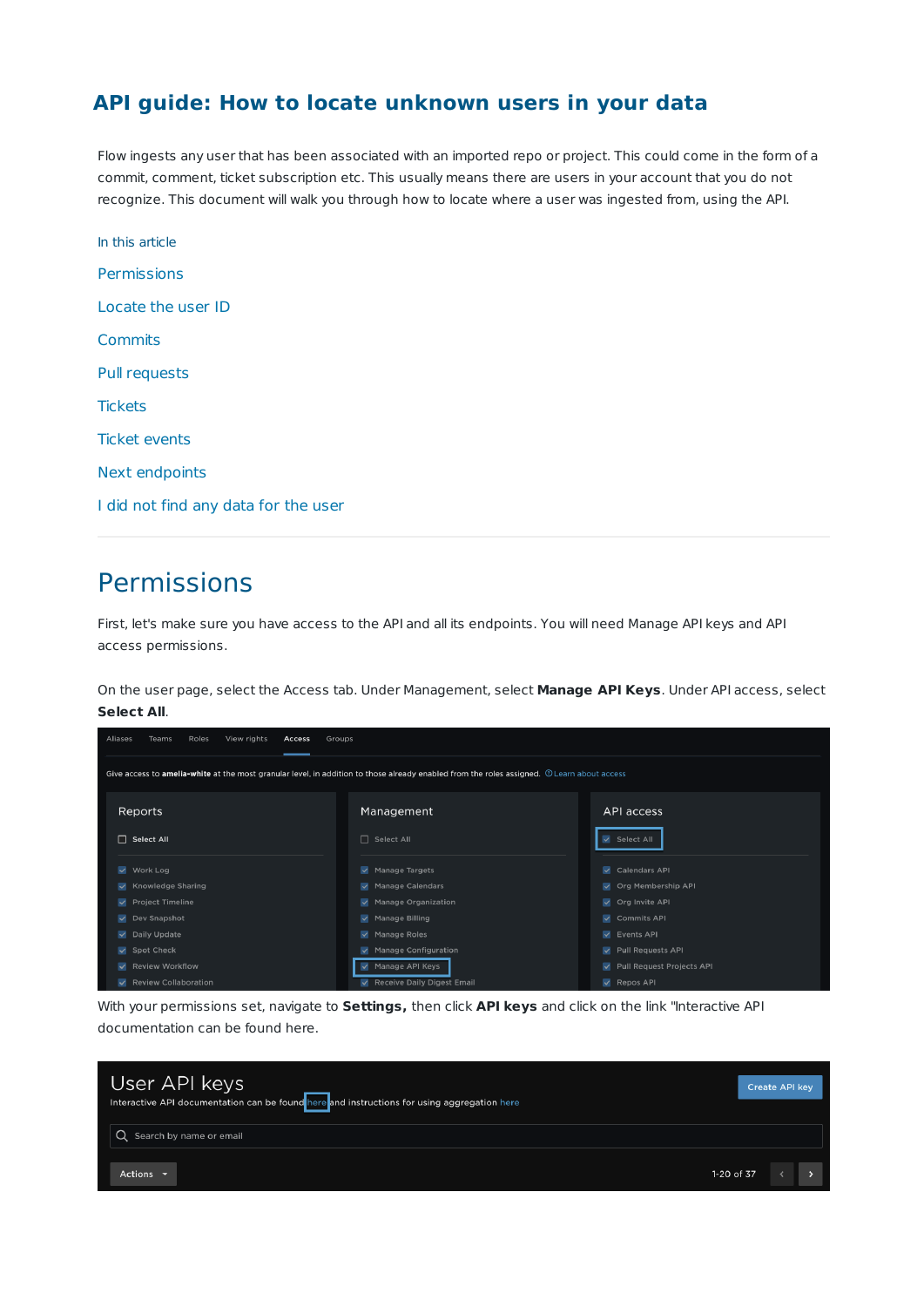### **API guide: How to locate unknown users in your data**

Flow ingests any user that has been associated with an imported repo or project. This could come in the form of a commit, comment, ticket subscription etc. This usually means there are users in your account that you do not recognize. This document will walk you through how to locate where a user was ingested from, using the API.

| In this article                      |
|--------------------------------------|
| Permissions                          |
| Locate the user ID                   |
| Commits                              |
| <b>Pull requests</b>                 |
| <b>Tickets</b>                       |
| <b>Ticket events</b>                 |
| Next endpoints                       |
| I did not find any data for the user |

# Permissions

First, let's make sure you have access to the API and all its endpoints. You will need Manage API keys and API access permissions.

On the user page, select the Access tab. Under Management, select **Manage API Keys**. Under API access, select **Select All**.

| View rights<br>Teams<br>Roles<br>Aliases<br>Access                                                                                        | Groups                                      |                             |  |  |  |
|-------------------------------------------------------------------------------------------------------------------------------------------|---------------------------------------------|-----------------------------|--|--|--|
| Give access to amelia-white at the most granular level, in addition to those already enabled from the roles assigned. @Learn about access |                                             |                             |  |  |  |
| Reports                                                                                                                                   | Management                                  | API access                  |  |  |  |
| $\Box$ Select All                                                                                                                         | □ Select All                                | V Select All                |  |  |  |
| $\vee$ Work Log                                                                                                                           | Manage Targets<br>$\checkmark$              | Calendars API               |  |  |  |
| Knowledge Sharing                                                                                                                         | Manage Calendars                            | V Org Membership API        |  |  |  |
| Project Timeline                                                                                                                          | <b>Manage Organization</b><br>$\checkmark$  | Org Invite API              |  |  |  |
| $\vee$ Dev Snapshot                                                                                                                       | $\sqrt{\phantom{a}}$ Manage Billing         | ✔ Commits API               |  |  |  |
| Daily Update                                                                                                                              | $\checkmark$<br><b>Manage Roles</b>         | $\vee$ Events API           |  |  |  |
| Spot Check                                                                                                                                | <b>Manage Configuration</b><br>$\checkmark$ | Pull Requests API           |  |  |  |
| <b>V</b> Review Workflow                                                                                                                  | Manage API Keys<br>$\checkmark$             | V Pull Request Projects API |  |  |  |
| Review Collaboration                                                                                                                      | Receive Daily Digest Email                  | $\vee$ Repos API            |  |  |  |

With your permissions set, navigate to **Settings,** then click **API keys** and click on the link "Interactive API documentation can be found here.

| User API keys<br>Interactive API documentation can be found here and instructions for using aggregation here |            | <b>Create API key</b> |  |
|--------------------------------------------------------------------------------------------------------------|------------|-----------------------|--|
| Search by name or email                                                                                      |            |                       |  |
| Actions $\blacktriangledown$                                                                                 | 1-20 of 37 |                       |  |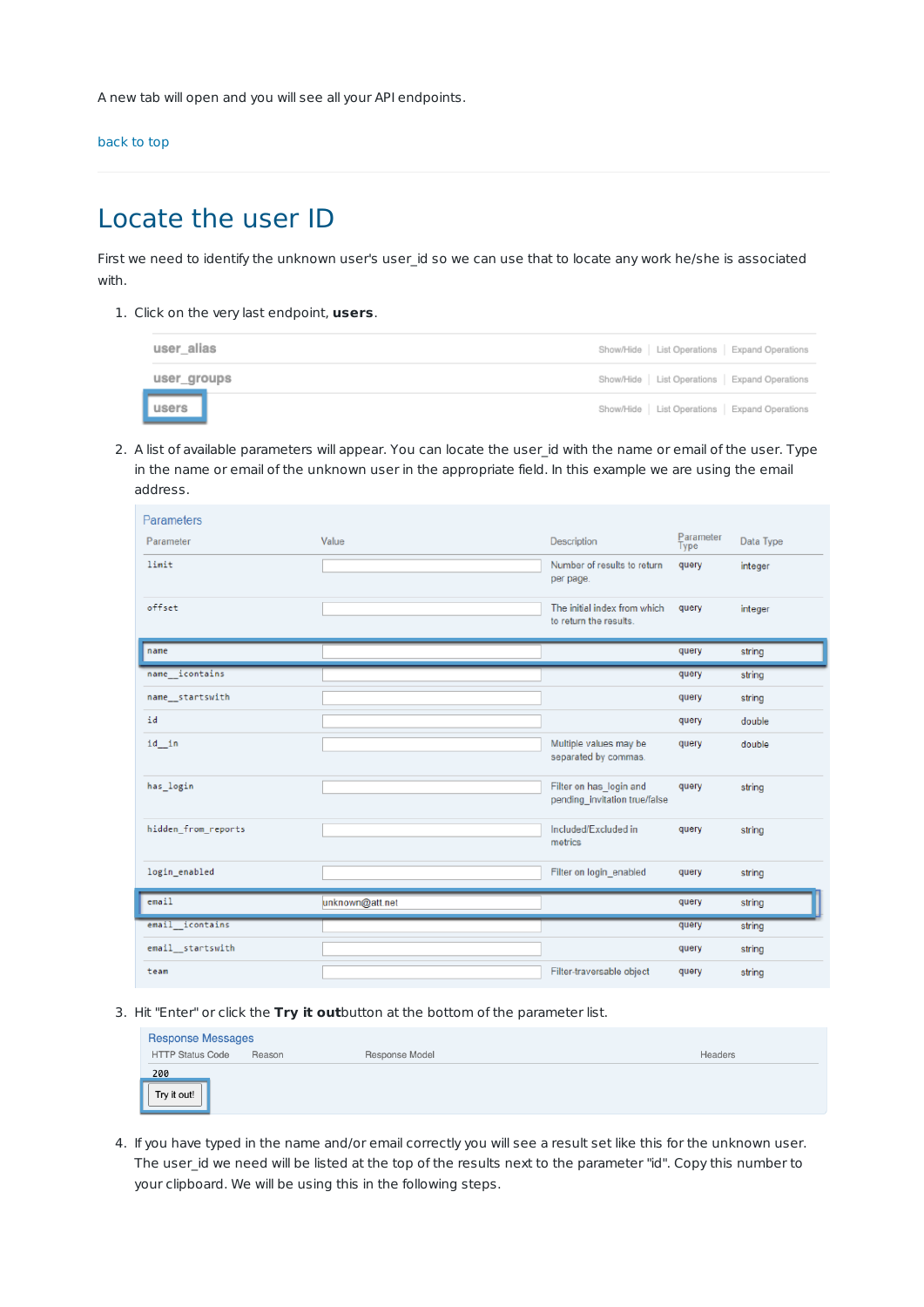A new tab will open and you will see all your API endpoints.

back to top

# Locate the user ID

First we need to identify the unknown user's user\_id so we can use that to locate any work he/she is associated with.

1. Click on the very last endpoint, **users**.

| user alias  |  | Show/Hide   List Operations   Expand Operations |
|-------------|--|-------------------------------------------------|
| user_groups |  | Show/Hide   List Operations   Expand Operations |
| users       |  | Show/Hide   List Operations   Expand Operations |

2. A list of available parameters will appear. You can locate the user\_id with the name or email of the user. Type in the name or email of the unknown user in the appropriate field. In this example we are using the email address.

| Parameters          |                 |                                                          |                   |           |
|---------------------|-----------------|----------------------------------------------------------|-------------------|-----------|
| Parameter           | Value           | Description                                              | Parameter<br>Type | Data Type |
| limit               |                 | Number of results to return<br>per page.                 | query             | integer   |
| offset              |                 | The initial index from which<br>to return the results.   | query             | integer   |
| name                |                 |                                                          | query             | string    |
| icontains<br>name   |                 |                                                          | query             | string    |
| name startswith     |                 |                                                          | query             | string    |
| id                  |                 |                                                          | query             | double    |
| id in               |                 | Multiple values may be<br>separated by commas.           | query             | double    |
| has login           |                 | Filter on has login and<br>pending invitation true/false | query             | string    |
| hidden_from_reports |                 | Included/Excluded in<br>metrics                          | query             | string    |
| login_enabled       |                 | Filter on login enabled                                  | query             | string    |
| email               | unknown@att.net |                                                          | query             | string    |
| email icontains     |                 |                                                          | query             | string    |
| email startswith    |                 |                                                          | query             | string    |
| team                |                 | Filter-traversable object                                | query             | string    |

3. Hit "Enter" or click the **Try it out**button at the bottom of the parameter list.

| <b>Response Messages</b> |        |                |         |  |  |
|--------------------------|--------|----------------|---------|--|--|
| <b>HTTP Status Code</b>  | Reason | Response Model | Headers |  |  |
| 200                      |        |                |         |  |  |
| Try it out!              |        |                |         |  |  |

4. If you have typed in the name and/or email correctly you will see a result set like this for the unknown user. The user id we need will be listed at the top of the results next to the parameter "id". Copy this number to your clipboard. We will be using this in the following steps.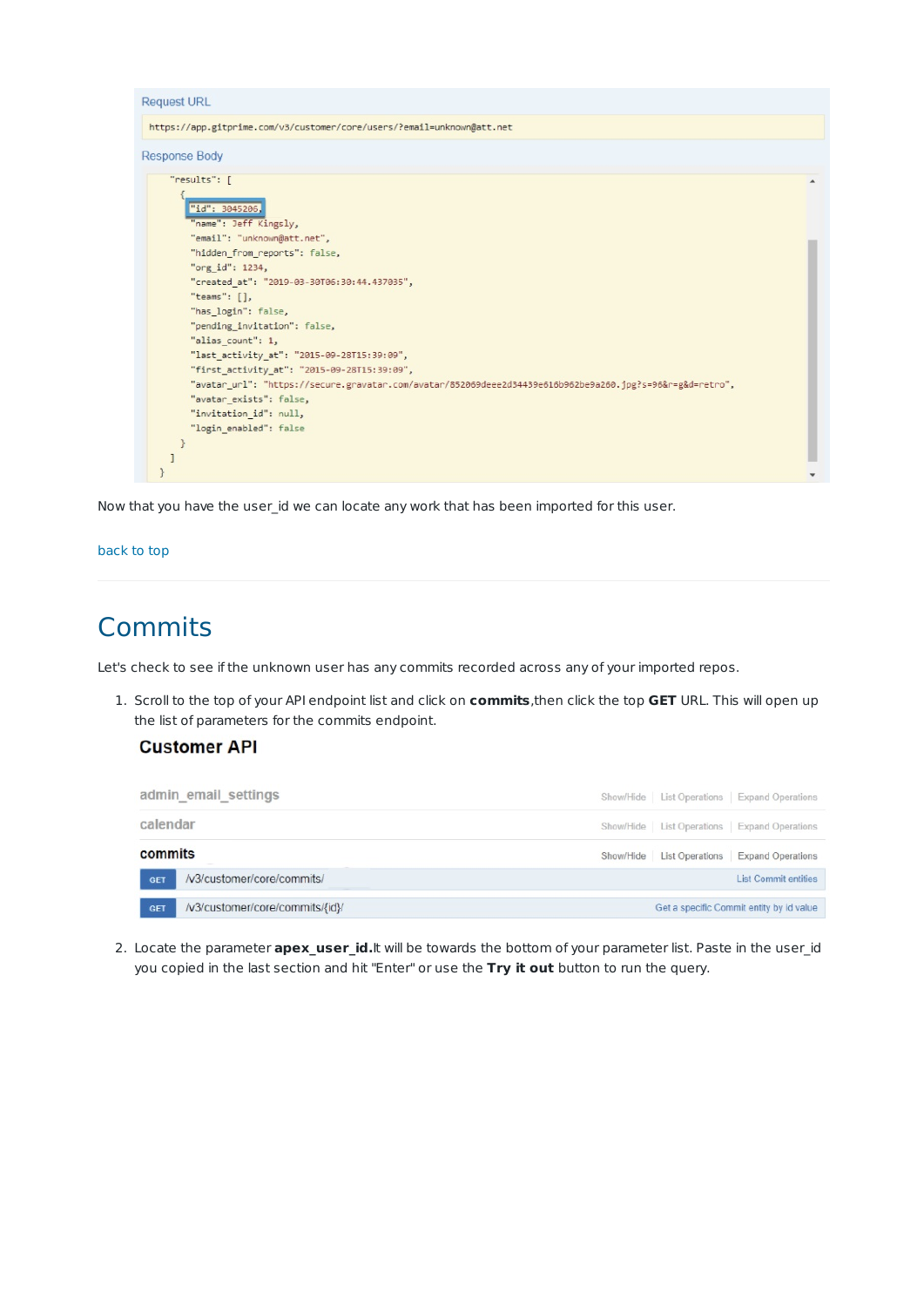

Now that you have the user id we can locate any work that has been imported for this user.

#### back to top

## Commits

Let's check to see if the unknown user has any commits recorded across any of your imported repos.

1. Scroll to the top of your API endpoint list and click on **commits**,then click the top **GET** URL. This will open up the list of parameters for the commits endpoint.

### **Customer API**

|            | admin email settings            | Show/Hide List Operations Expand Operations     |
|------------|---------------------------------|-------------------------------------------------|
| calendar   |                                 | Show/Hide   List Operations   Expand Operations |
| commits    |                                 | Show/Hide List Operations Expand Operations     |
| <b>GET</b> | /v3/customer/core/commits/      | <b>List Commit entities</b>                     |
| <b>GET</b> | /v3/customer/core/commits/{id}/ | Get a specific Commit entity by id value        |

2. Locate the parameter **apex\_user\_id.**It will be towards the bottom of your parameter list. Paste in the user\_id you copied in the last section and hit "Enter" or use the **Try it out** button to run the query.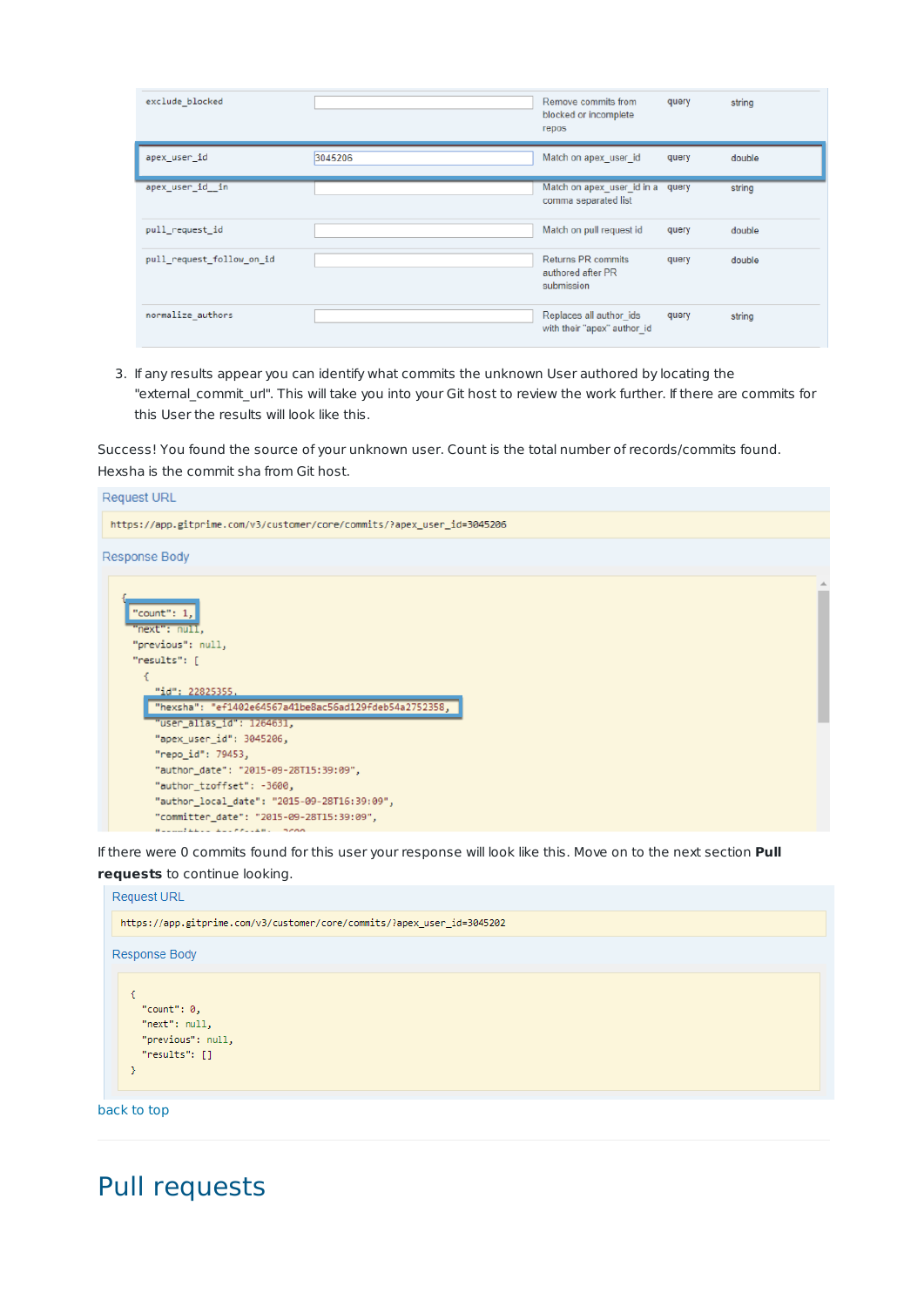| exclude_blocked           |         | Remove commits from<br>blocked or incomplete<br>repos        | query | string |
|---------------------------|---------|--------------------------------------------------------------|-------|--------|
| apex_user_id              | 3045206 | Match on apex user id                                        | query | double |
| apex_user_id__in          |         | Match on apex user id in a<br>comma separated list           | query | string |
| pull request id           |         | Match on pull request id                                     | query | double |
| pull_request_follow_on_id |         | <b>Returns PR commits</b><br>authored after PR<br>submission | query | double |
| normalize_authors         |         | Replaces all author_ids<br>with their "apex" author id       | query | string |

3. If any results appear you can identify what commits the unknown User authored by locating the "external\_commit\_url". This will take you into your Git host to review the work further. If there are commits for this User the results will look like this.

Success! You found the source of your unknown user. Count is the total number of records/commits found. Hexsha is the commit sha from Git host.



If there were 0 commits found for this user your response will look like this. Move on to the next section **Pull**

**requests** to continue looking.



## Pull requests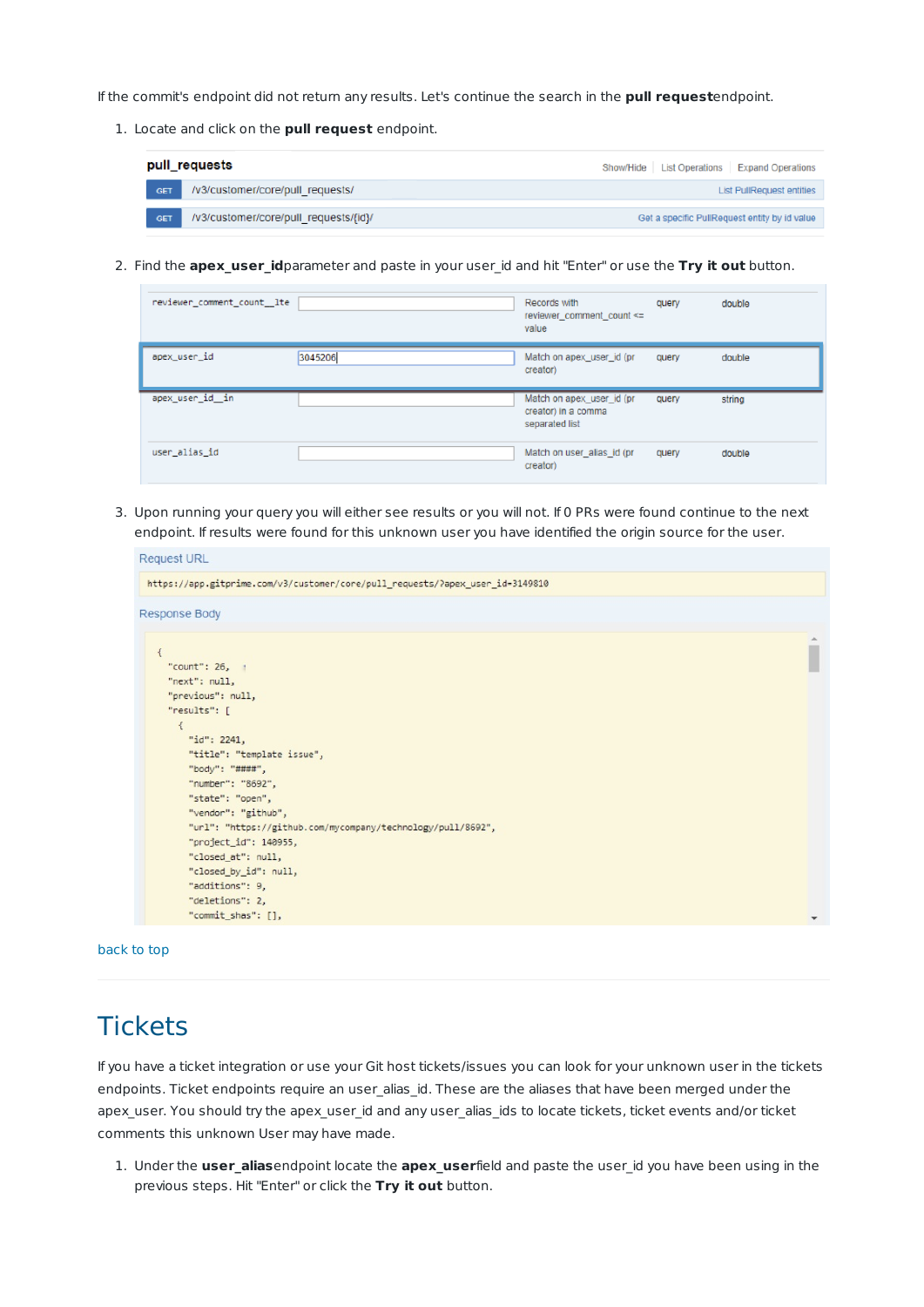If the commit's endpoint did not return any results. Let's continue the search in the **pull request**endpoint.

1. Locate and click on the **pull request** endpoint.

| pull_requests |                                       | Show/Hide   List Operations   Expand Operations |
|---------------|---------------------------------------|-------------------------------------------------|
| <b>GET</b>    | /v3/customer/core/pull_requests/      | <b>List PullRequest entities</b>                |
| <b>GET</b>    | /v3/customer/core/pull_requests/{id}/ | Get a specific PullRequest entity by id value   |

2. Find the **apex\_user\_id**parameter and paste in your user\_id and hit "Enter" or use the **Try it out** button.

| reviewer_comment_count__lte |         | Records with<br>reviewer_comment_count <=<br>value                 | query | double |
|-----------------------------|---------|--------------------------------------------------------------------|-------|--------|
| apex_user_id                | 3045206 | Match on apex_user_id (pr<br>creator)                              | query | double |
| apex_user_id__in            |         | Match on apex user id (pr<br>creator) in a comma<br>separated list | query | string |
| user_alias_id               |         | Match on user_alias_id (pr<br>creator)                             | query | double |

3. Upon running your query you will either see results or you will not. If 0 PRs were found continue to the next endpoint. If results were found for this unknown user you have identified the origin source for the user.

| <b>Request URL</b>                                                            |                          |  |  |  |
|-------------------------------------------------------------------------------|--------------------------|--|--|--|
| https://app.gitprime.com/v3/customer/core/pull_requests/?apex_user_id=3149810 |                          |  |  |  |
| <b>Response Body</b>                                                          |                          |  |  |  |
| $\left\{ \right\}$                                                            |                          |  |  |  |
| "count": $26, 1$                                                              |                          |  |  |  |
| "next": null,                                                                 |                          |  |  |  |
| "previous": null,<br>"results": [                                             |                          |  |  |  |
| $\{$<br>"id": 2241,<br>"title": "template issue",<br>"body": "####",          |                          |  |  |  |
| "number": "8692",                                                             |                          |  |  |  |
| "state": "open",                                                              |                          |  |  |  |
| "vendor": "github",                                                           |                          |  |  |  |
| "url": "https://github.com/mycompany/technology/pull/8692",                   |                          |  |  |  |
| "project_id": 140955,                                                         |                          |  |  |  |
| "closed at": null,                                                            |                          |  |  |  |
| "closed_by_id": null,                                                         |                          |  |  |  |
| "additions": 9,                                                               |                          |  |  |  |
| "deletions": 2,                                                               |                          |  |  |  |
| "commit_shas": [],                                                            | $\overline{\phantom{a}}$ |  |  |  |

back to top

# **Tickets**

If you have a ticket integration or use your Git host tickets/issues you can look for your unknown user in the tickets endpoints. Ticket endpoints require an user\_alias\_id. These are the aliases that have been merged under the apex\_user. You should try the apex\_user\_id and any user\_alias\_ids to locate tickets, ticket events and/or ticket comments this unknown User may have made.

1. Under the **user\_alias**endpoint locate the **apex\_user**field and paste the user\_id you have been using in the previous steps. Hit "Enter" or click the **Try it out** button.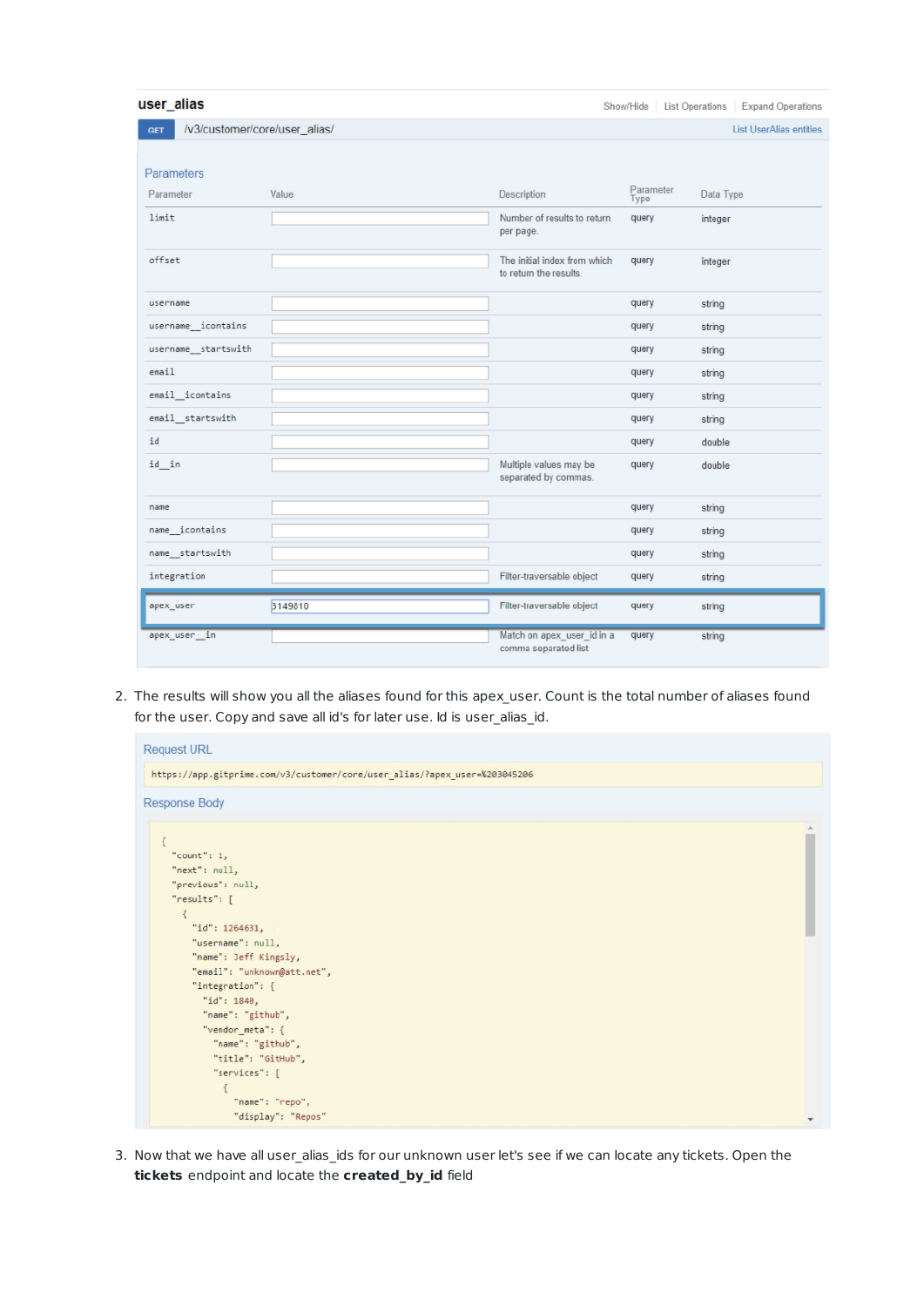| user_alias                                  |         |                                                        |                   | Show/Hide   List Operations   Expand Operations |
|---------------------------------------------|---------|--------------------------------------------------------|-------------------|-------------------------------------------------|
| /v3/customer/core/user_alias/<br><b>GET</b> |         |                                                        |                   | <b>List UserAlias entities</b>                  |
|                                             |         |                                                        |                   |                                                 |
| Parameters                                  |         |                                                        |                   |                                                 |
| Parameter                                   | Value   | Description                                            | Parameter<br>Type | Data Type                                       |
| limit                                       |         | Number of results to return<br>per page.               | query             | integer                                         |
| offset                                      |         | The initial index from which<br>to return the results. | query             | integer                                         |
| username                                    |         |                                                        | query             | string                                          |
| username icontains                          |         |                                                        | query             | string                                          |
| username_startswith                         |         |                                                        | query             | string                                          |
| email                                       |         |                                                        | query             | string                                          |
| email_icontains                             |         |                                                        | query             | string                                          |
| email_startswith                            |         |                                                        | query             | string                                          |
| id                                          |         |                                                        | query             | double                                          |
| id in                                       |         | Multiple values may be<br>separated by commas.         | query             | double                                          |
| name                                        |         |                                                        | query             | string                                          |
| name icontains                              |         |                                                        | query             | string                                          |
| name startswith                             |         |                                                        | query             | string                                          |
| integration                                 |         | Filter-traversable object                              | query             | string                                          |
| apex_user                                   | 3149810 | Filter-traversable object                              | query             | string                                          |
| apex user in                                |         | Match on apex user id in a<br>comma separated list     | query             | string                                          |

2. The results will show you all the aliases found for this apex\_user. Count is the total number of aliases found for the user. Copy and save all id's for later use. Id is user\_alias\_id.

| <b>Request URL</b>                                                         |  |  |  |  |  |
|----------------------------------------------------------------------------|--|--|--|--|--|
| https://app.gitprime.com/v3/customer/core/user_alias/?apex_user=%203045206 |  |  |  |  |  |
| Response Body                                                              |  |  |  |  |  |
|                                                                            |  |  |  |  |  |
| "count": $1$ ,                                                             |  |  |  |  |  |
| "next": null,<br>"previous": null,                                         |  |  |  |  |  |
| "results": [                                                               |  |  |  |  |  |
| ₹                                                                          |  |  |  |  |  |
| "id": 1264631,                                                             |  |  |  |  |  |
| "username": null,                                                          |  |  |  |  |  |
| "name": Jeff Kingsly,                                                      |  |  |  |  |  |
| "email": "unknown@att.net",                                                |  |  |  |  |  |
| "integration": {                                                           |  |  |  |  |  |
| "id": 1840,                                                                |  |  |  |  |  |
| "name": "github",                                                          |  |  |  |  |  |
| "vendor_meta": {                                                           |  |  |  |  |  |
| "name": "github",                                                          |  |  |  |  |  |
| "title": "GitHub",                                                         |  |  |  |  |  |
| "services": [                                                              |  |  |  |  |  |
|                                                                            |  |  |  |  |  |
| "name": "repo",<br>"display": "Repos"                                      |  |  |  |  |  |
|                                                                            |  |  |  |  |  |

3. Now that we have all user\_alias\_ids for our unknown user let's see if we can locate any tickets. Open the **tickets** endpoint and locate the **created\_by\_id** field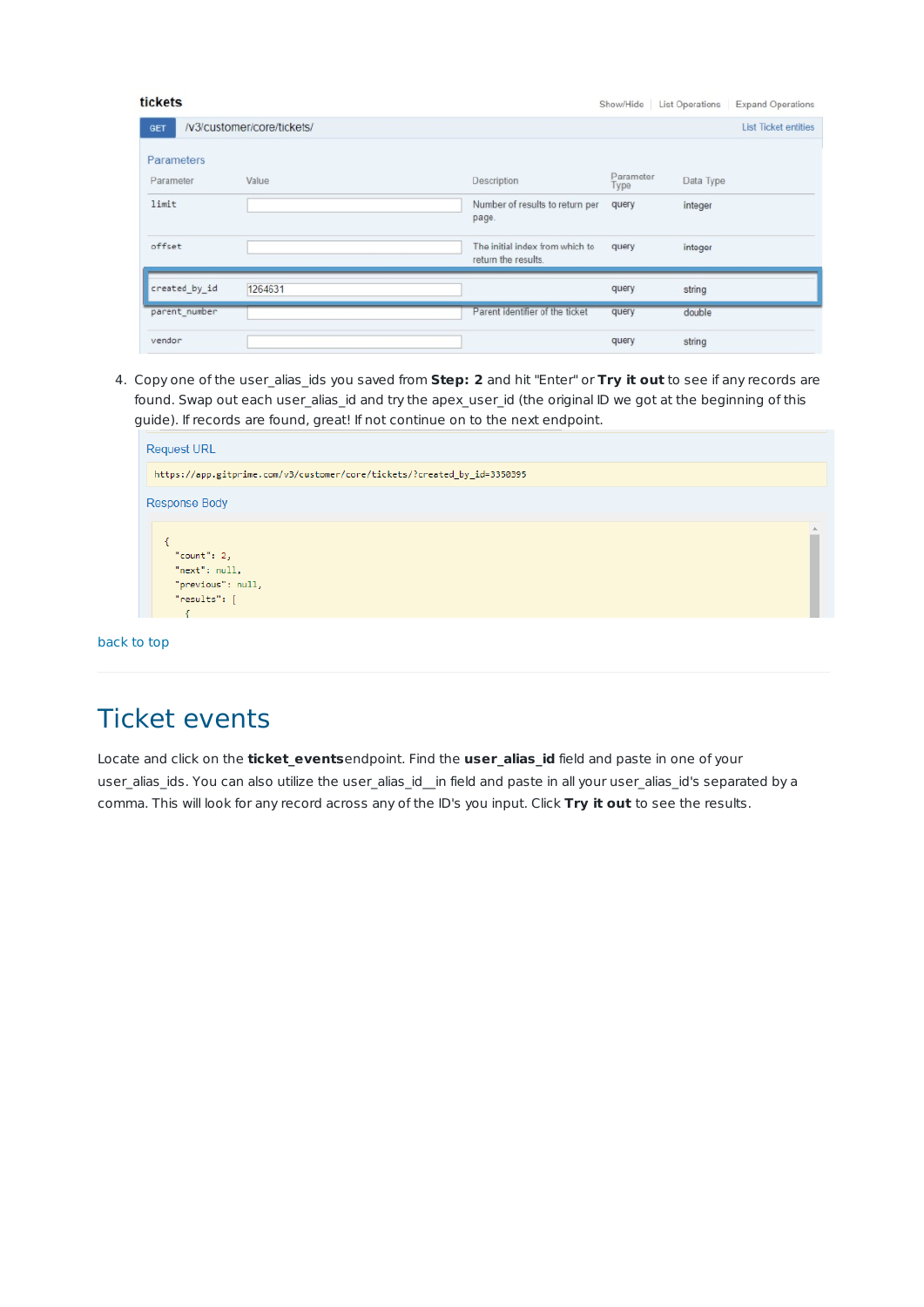| tickets       |                            |                                                        |                   | Show/Hide   List Operations | <b>Expand Operations</b>    |
|---------------|----------------------------|--------------------------------------------------------|-------------------|-----------------------------|-----------------------------|
| GET           | /v3/customer/core/tickets/ |                                                        |                   |                             | <b>List Ticket entities</b> |
| Parameters    |                            |                                                        |                   |                             |                             |
| Parameter     | Value                      | Description                                            | Parameter<br>Type | Data Type                   |                             |
| limit         |                            | Number of results to return per<br>page.               | query             | integer                     |                             |
| offset        |                            | The initial index from which to<br>return the results. | query             | integer                     |                             |
| created by id | 1264631                    |                                                        | query             | string                      |                             |
| parent number |                            | Parent identifier of the ticket                        | query             | double                      |                             |
| vendor        |                            |                                                        | query             | string                      |                             |

4. Copy one of the user\_alias\_ids you saved from **Step: 2** and hit "Enter" or **Try it out** to see if any records are found. Swap out each user\_alias\_id and try the apex\_user\_id (the original ID we got at the beginning of this guide). If records are found, great! If not continue on to the next endpoint.

| https://app.gitprime.com/v3/customer/core/tickets/?created by id=3350395 |  |
|--------------------------------------------------------------------------|--|
| <b>Response Body</b>                                                     |  |
|                                                                          |  |
|                                                                          |  |
| "count": $2$ ,                                                           |  |
| "next": null,                                                            |  |
| "previous": null,                                                        |  |
| "results": [                                                             |  |
|                                                                          |  |

### back to top

### Ticket events

Locate and click on the **ticket\_events**endpoint. Find the **user\_alias\_id** field and paste in one of your user\_alias\_ids. You can also utilize the user\_alias\_id\_ in field and paste in all your user\_alias\_id's separated by a comma. This will look for any record across any of the ID's you input. Click **Try it out** to see the results.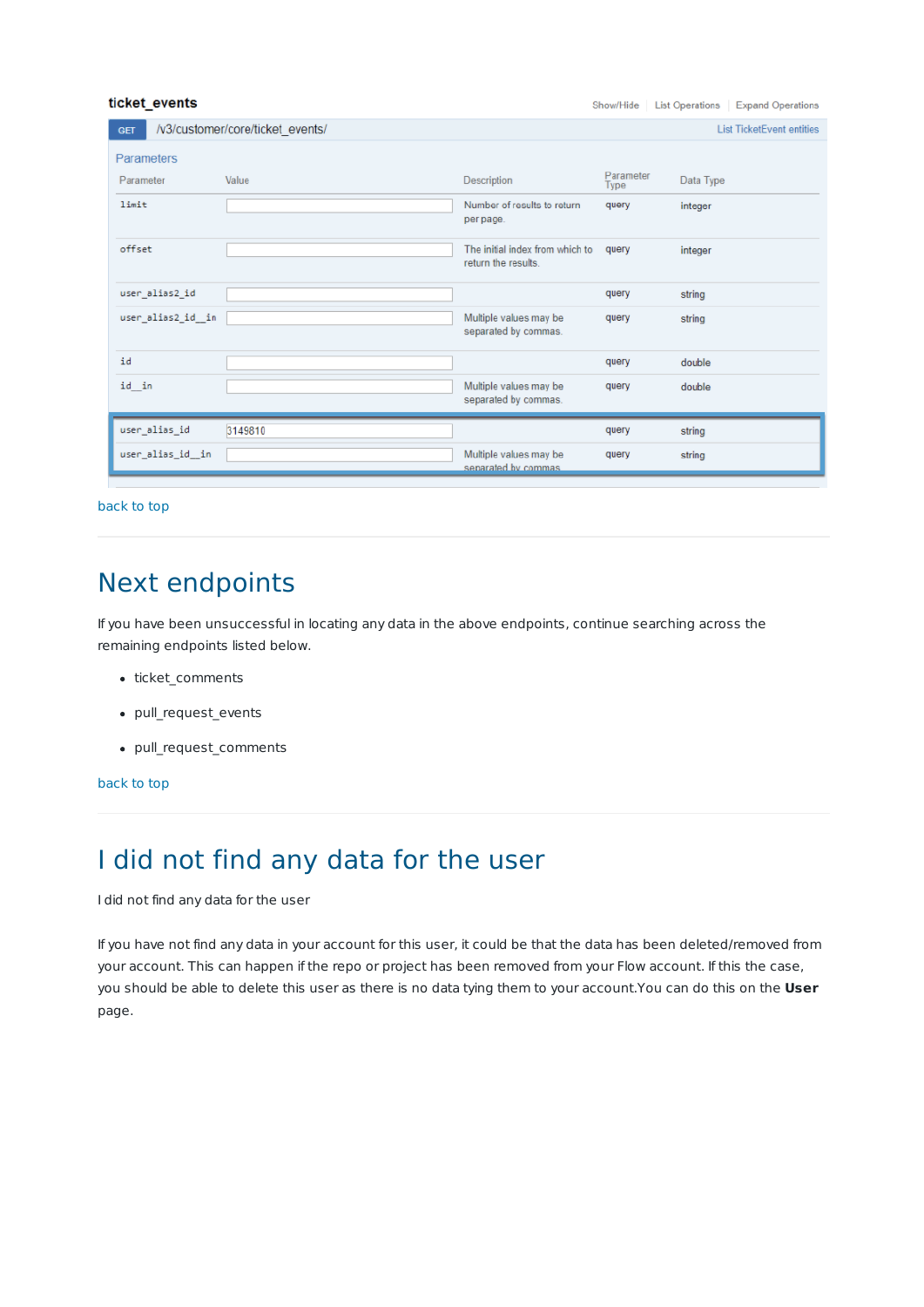#### ticket\_events

Show/Hide | List Operations | Expand Operations

| <b>GET</b>         | /v3/customer/core/ticket events/ |                                                        |                   | <b>List TicketEvent entities</b> |
|--------------------|----------------------------------|--------------------------------------------------------|-------------------|----------------------------------|
| <b>Parameters</b>  |                                  |                                                        |                   |                                  |
| Parameter          | Value                            | Description                                            | Parameter<br>Type | Data Type                        |
| limit              |                                  | Number of results to return<br>per page.               | query             | integer                          |
| offset             |                                  | The initial index from which to<br>return the results. | query             | integer                          |
| user_alias2_id     |                                  |                                                        | query             | string                           |
| user_alias2_id__in |                                  | Multiple values may be<br>separated by commas.         | query             | string                           |
| id                 |                                  |                                                        | query             | double                           |
| id_in              |                                  | Multiple values may be<br>separated by commas.         | query             | double                           |
| user_alias_id      | 3149810                          |                                                        | query             | string                           |
| user_alias_id_in   |                                  | Multiple values may be<br>separated by commas          | query             | string                           |

back to top

## Next endpoints

If you have been unsuccessful in locating any data in the above endpoints, continue searching across the remaining endpoints listed below.

- ticket\_comments
- pull request events
- pull\_request\_comments

#### back to top

# I did not find any data for the user

I did not find any data for the user

If you have not find any data in your account for this user, it could be that the data has been deleted/removed from your account. This can happen if the repo or project has been removed from your Flow account. If this the case, you should be able to delete this user as there is no data tying them to your account.You can do this on the **User** page.